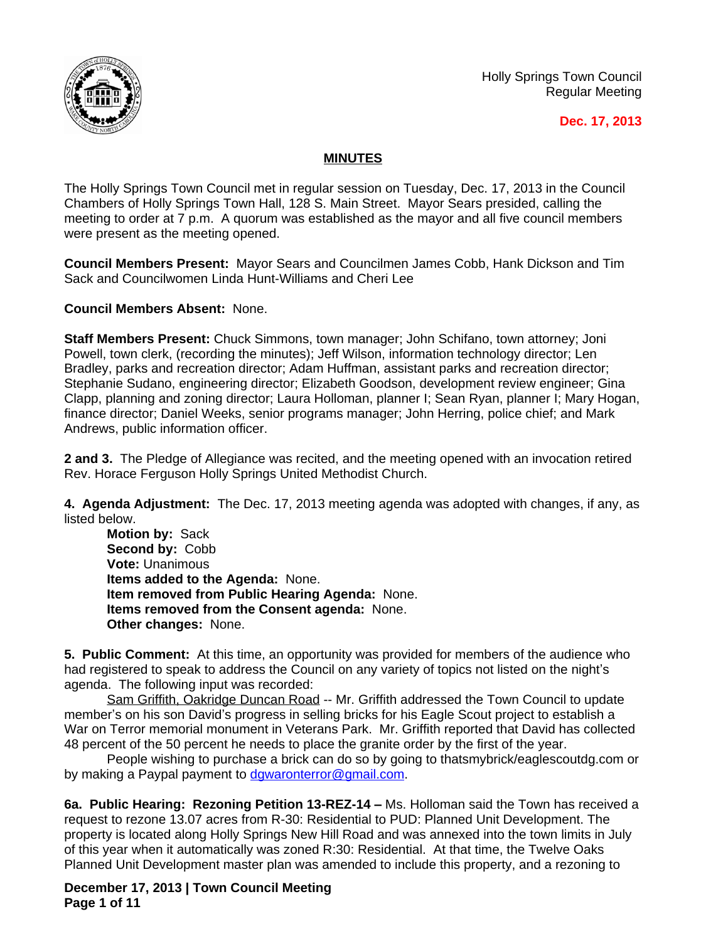

Holly Springs Town Council Regular Meeting

## **Dec. 17, 2013**

## **MINUTES**

The Holly Springs Town Council met in regular session on Tuesday, Dec. 17, 2013 in the Council Chambers of Holly Springs Town Hall, 128 S. Main Street. Mayor Sears presided, calling the meeting to order at 7 p.m. A quorum was established as the mayor and all five council members were present as the meeting opened.

**Council Members Present:** Mayor Sears and Councilmen James Cobb, Hank Dickson and Tim Sack and Councilwomen Linda Hunt-Williams and Cheri Lee

**Council Members Absent:** None.

**Staff Members Present:** Chuck Simmons, town manager; John Schifano, town attorney; Joni Powell, town clerk, (recording the minutes); Jeff Wilson, information technology director; Len Bradley, parks and recreation director; Adam Huffman, assistant parks and recreation director; Stephanie Sudano, engineering director; Elizabeth Goodson, development review engineer; Gina Clapp, planning and zoning director; Laura Holloman, planner I; Sean Ryan, planner I; Mary Hogan, finance director; Daniel Weeks, senior programs manager; John Herring, police chief; and Mark Andrews, public information officer.

**2 and 3.** The Pledge of Allegiance was recited, and the meeting opened with an invocation retired Rev. Horace Ferguson Holly Springs United Methodist Church.

**4. Agenda Adjustment:** The Dec. 17, 2013 meeting agenda was adopted with changes, if any, as listed below.

**Motion by:** Sack **Second by:** Cobb **Vote:** Unanimous **Items added to the Agenda:** None. **Item removed from Public Hearing Agenda:** None. **Items removed from the Consent agenda:** None. **Other changes:** None.

**5. Public Comment:** At this time, an opportunity was provided for members of the audience who had registered to speak to address the Council on any variety of topics not listed on the night's agenda. The following input was recorded:

Sam Griffith, Oakridge Duncan Road -- Mr. Griffith addressed the Town Council to update member's on his son David's progress in selling bricks for his Eagle Scout project to establish a War on Terror memorial monument in Veterans Park. Mr. Griffith reported that David has collected 48 percent of the 50 percent he needs to place the granite order by the first of the year.

People wishing to purchase a brick can do so by going to thatsmybrick/eaglescoutdg.com or by making a Paypal payment to [dgwaronterror@gmail.com](mailto:dgwaronterror@gmail.com).

**6a. Public Hearing: Rezoning Petition 13-REZ-14 –** Ms. Holloman said the Town has received a request to rezone 13.07 acres from R-30: Residential to PUD: Planned Unit Development. The property is located along Holly Springs New Hill Road and was annexed into the town limits in July of this year when it automatically was zoned R:30: Residential. At that time, the Twelve Oaks Planned Unit Development master plan was amended to include this property, and a rezoning to

**December 17, 2013 | Town Council Meeting Page 1 of 11**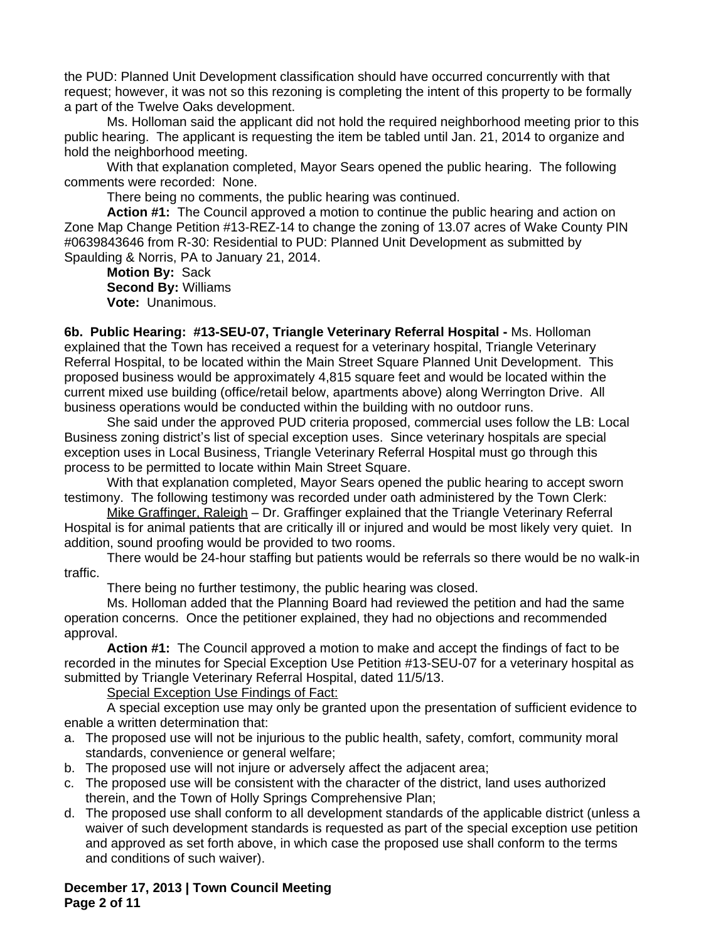the PUD: Planned Unit Development classification should have occurred concurrently with that request; however, it was not so this rezoning is completing the intent of this property to be formally a part of the Twelve Oaks development.

Ms. Holloman said the applicant did not hold the required neighborhood meeting prior to this public hearing. The applicant is requesting the item be tabled until Jan. 21, 2014 to organize and hold the neighborhood meeting.

With that explanation completed, Mayor Sears opened the public hearing. The following comments were recorded: None.

There being no comments, the public hearing was continued.

**Action #1:** The Council approved a motion to continue the public hearing and action on Zone Map Change Petition #13-REZ-14 to change the zoning of 13.07 acres of Wake County PIN #0639843646 from R-30: Residential to PUD: Planned Unit Development as submitted by Spaulding & Norris, PA to January 21, 2014.

**Motion By:** Sack **Second By:** Williams **Vote:** Unanimous.

**6b. Public Hearing: #13-SEU-07, Triangle Veterinary Referral Hospital -** Ms. Holloman explained that the Town has received a request for a veterinary hospital, Triangle Veterinary Referral Hospital, to be located within the Main Street Square Planned Unit Development. This proposed business would be approximately 4,815 square feet and would be located within the current mixed use building (office/retail below, apartments above) along Werrington Drive. All business operations would be conducted within the building with no outdoor runs.

She said under the approved PUD criteria proposed, commercial uses follow the LB: Local Business zoning district's list of special exception uses. Since veterinary hospitals are special exception uses in Local Business, Triangle Veterinary Referral Hospital must go through this process to be permitted to locate within Main Street Square.

With that explanation completed, Mayor Sears opened the public hearing to accept sworn testimony. The following testimony was recorded under oath administered by the Town Clerk:

Mike Graffinger, Raleigh – Dr. Graffinger explained that the Triangle Veterinary Referral Hospital is for animal patients that are critically ill or injured and would be most likely very quiet. In addition, sound proofing would be provided to two rooms.

There would be 24-hour staffing but patients would be referrals so there would be no walk-in traffic.

There being no further testimony, the public hearing was closed.

Ms. Holloman added that the Planning Board had reviewed the petition and had the same operation concerns. Once the petitioner explained, they had no objections and recommended approval.

**Action #1:** The Council approved a motion to make and accept the findings of fact to be recorded in the minutes for Special Exception Use Petition #13-SEU-07 for a veterinary hospital as submitted by Triangle Veterinary Referral Hospital, dated 11/5/13.

Special Exception Use Findings of Fact:

A special exception use may only be granted upon the presentation of sufficient evidence to enable a written determination that:

- a. The proposed use will not be injurious to the public health, safety, comfort, community moral standards, convenience or general welfare;
- b. The proposed use will not injure or adversely affect the adjacent area;
- c. The proposed use will be consistent with the character of the district, land uses authorized therein, and the Town of Holly Springs Comprehensive Plan;
- d. The proposed use shall conform to all development standards of the applicable district (unless a waiver of such development standards is requested as part of the special exception use petition and approved as set forth above, in which case the proposed use shall conform to the terms and conditions of such waiver).

**December 17, 2013 | Town Council Meeting Page 2 of 11**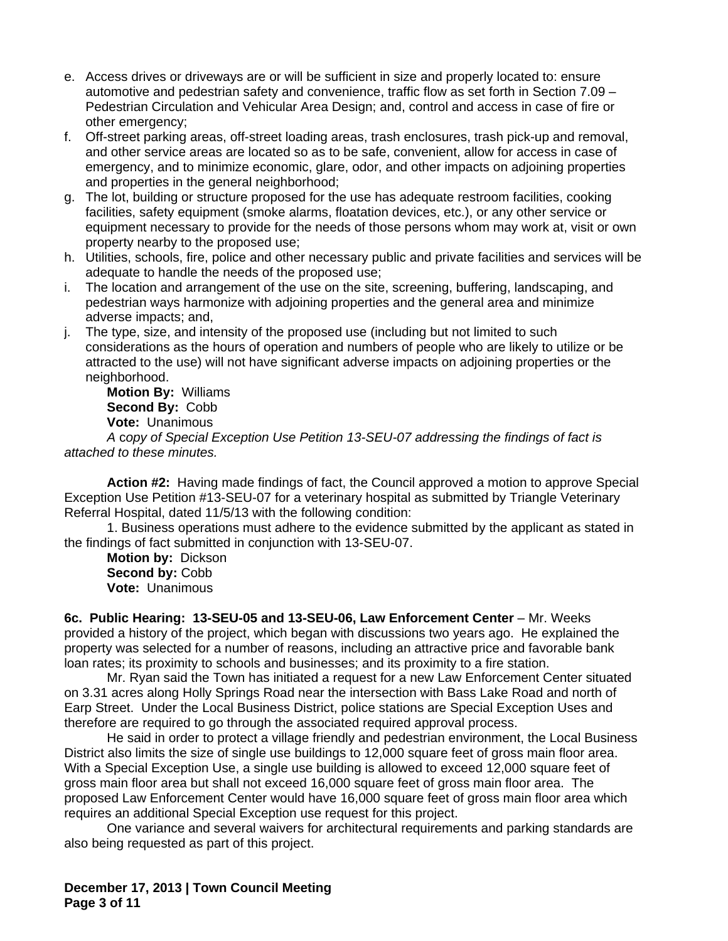- e. Access drives or driveways are or will be sufficient in size and properly located to: ensure automotive and pedestrian safety and convenience, traffic flow as set forth in Section 7.09 – Pedestrian Circulation and Vehicular Area Design; and, control and access in case of fire or other emergency;
- f. Off-street parking areas, off-street loading areas, trash enclosures, trash pick-up and removal, and other service areas are located so as to be safe, convenient, allow for access in case of emergency, and to minimize economic, glare, odor, and other impacts on adjoining properties and properties in the general neighborhood;
- g. The lot, building or structure proposed for the use has adequate restroom facilities, cooking facilities, safety equipment (smoke alarms, floatation devices, etc.), or any other service or equipment necessary to provide for the needs of those persons whom may work at, visit or own property nearby to the proposed use;
- h. Utilities, schools, fire, police and other necessary public and private facilities and services will be adequate to handle the needs of the proposed use;
- i. The location and arrangement of the use on the site, screening, buffering, landscaping, and pedestrian ways harmonize with adjoining properties and the general area and minimize adverse impacts; and,
- j. The type, size, and intensity of the proposed use (including but not limited to such considerations as the hours of operation and numbers of people who are likely to utilize or be attracted to the use) will not have significant adverse impacts on adjoining properties or the neighborhood.

**Motion By:** Williams **Second By:** Cobb **Vote:** Unanimous

*A* c*opy of Special Exception Use Petition 13-SEU-07 addressing the findings of fact is attached to these minutes.*

**Action #2:** Having made findings of fact, the Council approved a motion to approve Special Exception Use Petition #13-SEU-07 for a veterinary hospital as submitted by Triangle Veterinary Referral Hospital, dated 11/5/13 with the following condition:

1. Business operations must adhere to the evidence submitted by the applicant as stated in the findings of fact submitted in conjunction with 13-SEU-07.

**Motion by:** Dickson **Second by:** Cobb **Vote:** Unanimous

**6c. Public Hearing: 13-SEU-05 and 13-SEU-06, Law Enforcement Center** – Mr. Weeks provided a history of the project, which began with discussions two years ago. He explained the property was selected for a number of reasons, including an attractive price and favorable bank loan rates; its proximity to schools and businesses; and its proximity to a fire station.

Mr. Ryan said the Town has initiated a request for a new Law Enforcement Center situated on 3.31 acres along Holly Springs Road near the intersection with Bass Lake Road and north of Earp Street. Under the Local Business District, police stations are Special Exception Uses and therefore are required to go through the associated required approval process.

He said in order to protect a village friendly and pedestrian environment, the Local Business District also limits the size of single use buildings to 12,000 square feet of gross main floor area. With a Special Exception Use, a single use building is allowed to exceed 12,000 square feet of gross main floor area but shall not exceed 16,000 square feet of gross main floor area. The proposed Law Enforcement Center would have 16,000 square feet of gross main floor area which requires an additional Special Exception use request for this project.

One variance and several waivers for architectural requirements and parking standards are also being requested as part of this project.

**December 17, 2013 | Town Council Meeting Page 3 of 11**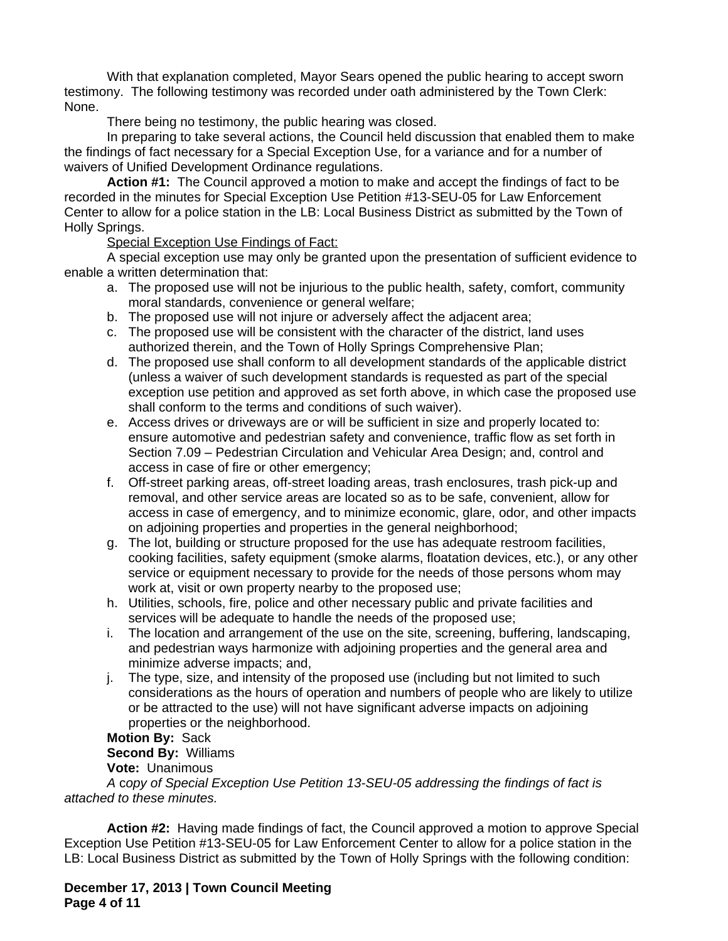With that explanation completed, Mayor Sears opened the public hearing to accept sworn testimony. The following testimony was recorded under oath administered by the Town Clerk: None.

There being no testimony, the public hearing was closed.

In preparing to take several actions, the Council held discussion that enabled them to make the findings of fact necessary for a Special Exception Use, for a variance and for a number of waivers of Unified Development Ordinance regulations.

**Action #1:** The Council approved a motion to make and accept the findings of fact to be recorded in the minutes for Special Exception Use Petition #13-SEU-05 for Law Enforcement Center to allow for a police station in the LB: Local Business District as submitted by the Town of Holly Springs.

Special Exception Use Findings of Fact:

A special exception use may only be granted upon the presentation of sufficient evidence to enable a written determination that:

- a. The proposed use will not be injurious to the public health, safety, comfort, community moral standards, convenience or general welfare;
- b. The proposed use will not injure or adversely affect the adjacent area;
- c. The proposed use will be consistent with the character of the district, land uses authorized therein, and the Town of Holly Springs Comprehensive Plan;
- d. The proposed use shall conform to all development standards of the applicable district (unless a waiver of such development standards is requested as part of the special exception use petition and approved as set forth above, in which case the proposed use shall conform to the terms and conditions of such waiver).
- e. Access drives or driveways are or will be sufficient in size and properly located to: ensure automotive and pedestrian safety and convenience, traffic flow as set forth in Section 7.09 – Pedestrian Circulation and Vehicular Area Design; and, control and access in case of fire or other emergency;
- f. Off-street parking areas, off-street loading areas, trash enclosures, trash pick-up and removal, and other service areas are located so as to be safe, convenient, allow for access in case of emergency, and to minimize economic, glare, odor, and other impacts on adjoining properties and properties in the general neighborhood;
- g. The lot, building or structure proposed for the use has adequate restroom facilities, cooking facilities, safety equipment (smoke alarms, floatation devices, etc.), or any other service or equipment necessary to provide for the needs of those persons whom may work at, visit or own property nearby to the proposed use;
- h. Utilities, schools, fire, police and other necessary public and private facilities and services will be adequate to handle the needs of the proposed use;
- i. The location and arrangement of the use on the site, screening, buffering, landscaping, and pedestrian ways harmonize with adjoining properties and the general area and minimize adverse impacts; and,
- j. The type, size, and intensity of the proposed use (including but not limited to such considerations as the hours of operation and numbers of people who are likely to utilize or be attracted to the use) will not have significant adverse impacts on adjoining properties or the neighborhood.

**Motion By:** Sack

**Second By:** Williams

**Vote:** Unanimous

*A* c*opy of Special Exception Use Petition 13-SEU-05 addressing the findings of fact is attached to these minutes.*

**Action #2:** Having made findings of fact, the Council approved a motion to approve Special Exception Use Petition #13-SEU-05 for Law Enforcement Center to allow for a police station in the LB: Local Business District as submitted by the Town of Holly Springs with the following condition:

**December 17, 2013 | Town Council Meeting Page 4 of 11**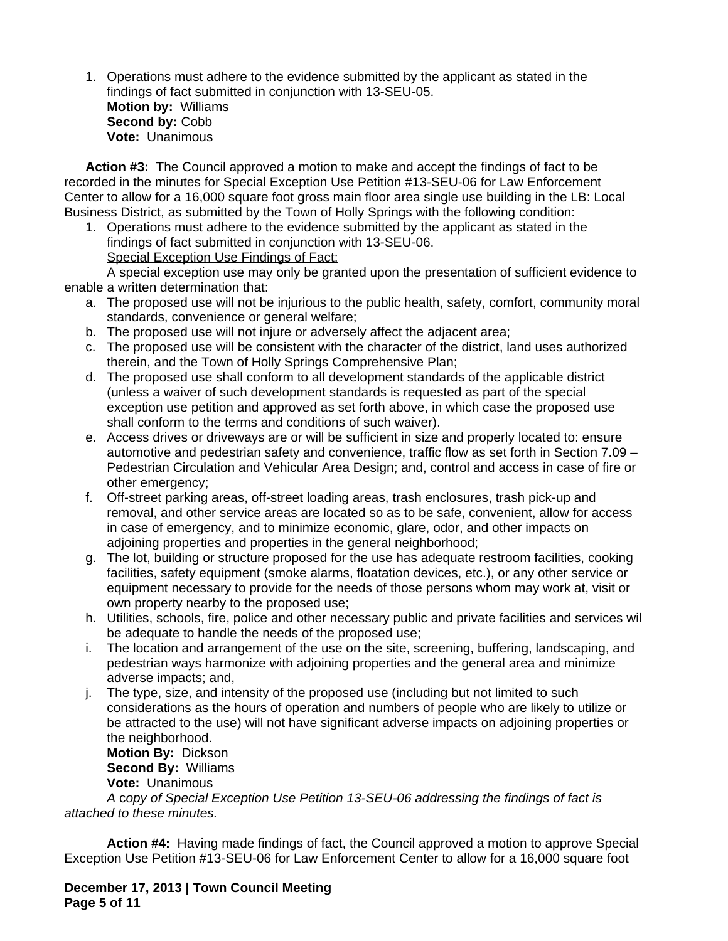1. Operations must adhere to the evidence submitted by the applicant as stated in the findings of fact submitted in conjunction with 13-SEU-05. **Motion by:** Williams Second by: Cobb **Vote:** Unanimous

**Action #3:** The Council approved a motion to make and accept the findings of fact to be recorded in the minutes for Special Exception Use Petition #13-SEU-06 for Law Enforcement Center to allow for a 16,000 square foot gross main floor area single use building in the LB: Local Business District, as submitted by the Town of Holly Springs with the following condition:

1. Operations must adhere to the evidence submitted by the applicant as stated in the findings of fact submitted in conjunction with 13-SEU-06. Special Exception Use Findings of Fact:

A special exception use may only be granted upon the presentation of sufficient evidence to enable a written determination that:

- a. The proposed use will not be injurious to the public health, safety, comfort, community moral standards, convenience or general welfare;
- b. The proposed use will not injure or adversely affect the adjacent area;
- c. The proposed use will be consistent with the character of the district, land uses authorized therein, and the Town of Holly Springs Comprehensive Plan;
- d. The proposed use shall conform to all development standards of the applicable district (unless a waiver of such development standards is requested as part of the special exception use petition and approved as set forth above, in which case the proposed use shall conform to the terms and conditions of such waiver).
- e. Access drives or driveways are or will be sufficient in size and properly located to: ensure automotive and pedestrian safety and convenience, traffic flow as set forth in Section 7.09 – Pedestrian Circulation and Vehicular Area Design; and, control and access in case of fire or other emergency;
- f. Off-street parking areas, off-street loading areas, trash enclosures, trash pick-up and removal, and other service areas are located so as to be safe, convenient, allow for access in case of emergency, and to minimize economic, glare, odor, and other impacts on adjoining properties and properties in the general neighborhood;
- g. The lot, building or structure proposed for the use has adequate restroom facilities, cooking facilities, safety equipment (smoke alarms, floatation devices, etc.), or any other service or equipment necessary to provide for the needs of those persons whom may work at, visit or own property nearby to the proposed use;
- h. Utilities, schools, fire, police and other necessary public and private facilities and services will be adequate to handle the needs of the proposed use;
- i. The location and arrangement of the use on the site, screening, buffering, landscaping, and pedestrian ways harmonize with adjoining properties and the general area and minimize adverse impacts; and,
- j. The type, size, and intensity of the proposed use (including but not limited to such considerations as the hours of operation and numbers of people who are likely to utilize or be attracted to the use) will not have significant adverse impacts on adjoining properties or the neighborhood.

**Motion By:** Dickson **Second By:** Williams **Vote:** Unanimous

*A* c*opy of Special Exception Use Petition 13-SEU-06 addressing the findings of fact is attached to these minutes.*

**Action #4:** Having made findings of fact, the Council approved a motion to approve Special Exception Use Petition #13-SEU-06 for Law Enforcement Center to allow for a 16,000 square foot

**December 17, 2013 | Town Council Meeting Page 5 of 11**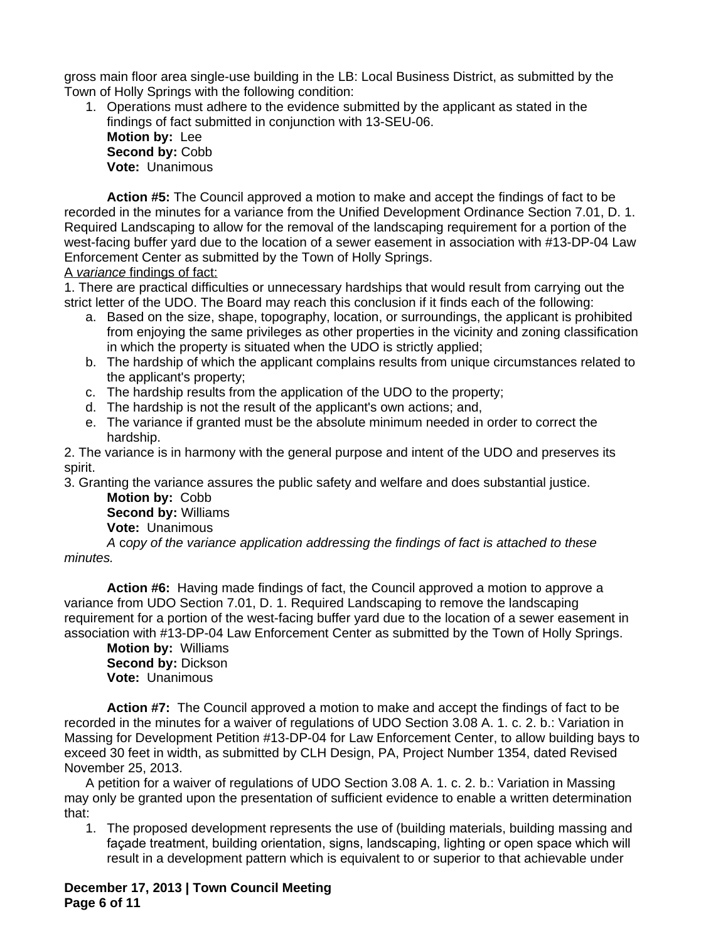gross main floor area single-use building in the LB: Local Business District, as submitted by the Town of Holly Springs with the following condition:

1. Operations must adhere to the evidence submitted by the applicant as stated in the findings of fact submitted in conjunction with 13-SEU-06.

**Motion by:** Lee **Second by:** Cobb **Vote:** Unanimous

**Action #5:** The Council approved a motion to make and accept the findings of fact to be recorded in the minutes for a variance from the Unified Development Ordinance Section 7.01, D. 1. Required Landscaping to allow for the removal of the landscaping requirement for a portion of the west-facing buffer yard due to the location of a sewer easement in association with #13-DP-04 Law Enforcement Center as submitted by the Town of Holly Springs.

A *variance* findings of fact:

1. There are practical difficulties or unnecessary hardships that would result from carrying out the strict letter of the UDO. The Board may reach this conclusion if it finds each of the following:

- a. Based on the size, shape, topography, location, or surroundings, the applicant is prohibited from enjoying the same privileges as other properties in the vicinity and zoning classification in which the property is situated when the UDO is strictly applied;
- b. The hardship of which the applicant complains results from unique circumstances related to the applicant's property;
- c. The hardship results from the application of the UDO to the property;
- d. The hardship is not the result of the applicant's own actions; and,
- e. The variance if granted must be the absolute minimum needed in order to correct the hardship.

2. The variance is in harmony with the general purpose and intent of the UDO and preserves its spirit.

3. Granting the variance assures the public safety and welfare and does substantial justice.

**Motion by:** Cobb **Second by:** Williams **Vote:** Unanimous

*A* c*opy of the variance application addressing the findings of fact is attached to these minutes.*

**Action #6:** Having made findings of fact, the Council approved a motion to approve a variance from UDO Section 7.01, D. 1. Required Landscaping to remove the landscaping requirement for a portion of the west-facing buffer yard due to the location of a sewer easement in association with #13-DP-04 Law Enforcement Center as submitted by the Town of Holly Springs.

**Motion by:** Williams **Second by:** Dickson **Vote:** Unanimous

**Action #7:** The Council approved a motion to make and accept the findings of fact to be recorded in the minutes for a waiver of regulations of UDO Section 3.08 A. 1. c. 2. b.: Variation in Massing for Development Petition #13-DP-04 for Law Enforcement Center, to allow building bays to exceed 30 feet in width, as submitted by CLH Design, PA, Project Number 1354, dated Revised November 25, 2013.

A petition for a waiver of regulations of UDO Section 3.08 A. 1. c. 2. b.: Variation in Massing may only be granted upon the presentation of sufficient evidence to enable a written determination that:

1. The proposed development represents the use of (building materials, building massing and façade treatment, building orientation, signs, landscaping, lighting or open space which will result in a development pattern which is equivalent to or superior to that achievable under

**December 17, 2013 | Town Council Meeting Page 6 of 11**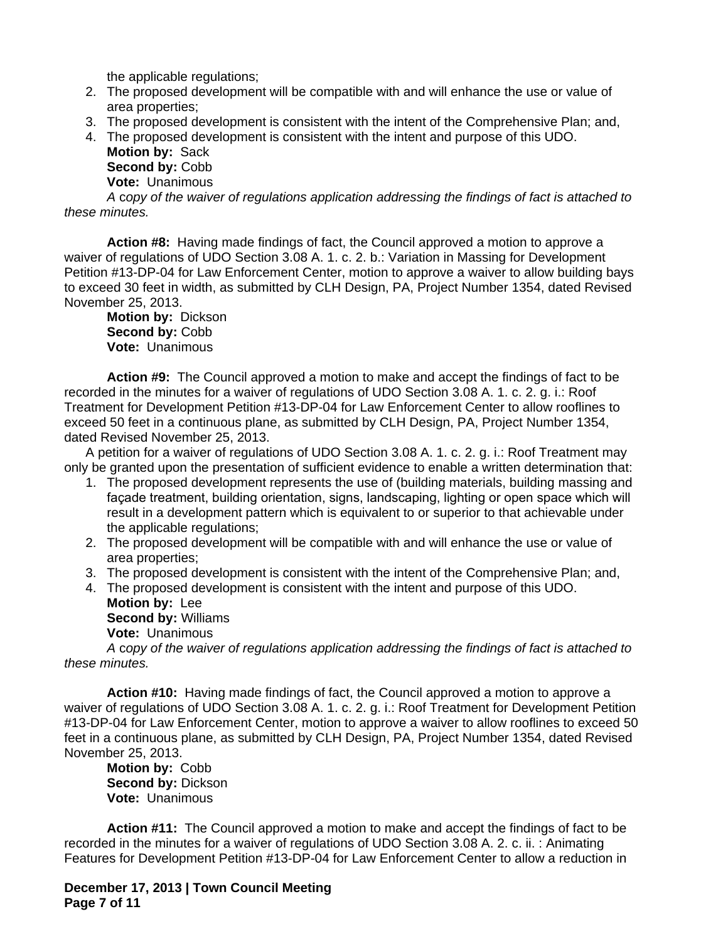the applicable regulations;

- 2. The proposed development will be compatible with and will enhance the use or value of area properties;
- 3. The proposed development is consistent with the intent of the Comprehensive Plan; and,
- 4. The proposed development is consistent with the intent and purpose of this UDO. **Motion by:** Sack

**Second by:** Cobb **Vote:** Unanimous

*A* c*opy of the waiver of regulations application addressing the findings of fact is attached to these minutes.*

**Action #8:** Having made findings of fact, the Council approved a motion to approve a waiver of regulations of UDO Section 3.08 A. 1. c. 2. b.: Variation in Massing for Development Petition #13-DP-04 for Law Enforcement Center, motion to approve a waiver to allow building bays to exceed 30 feet in width, as submitted by CLH Design, PA, Project Number 1354, dated Revised November 25, 2013.

**Motion by:** Dickson **Second by:** Cobb **Vote:** Unanimous

**Action #9:** The Council approved a motion to make and accept the findings of fact to be recorded in the minutes for a waiver of regulations of UDO Section 3.08 A. 1. c. 2. g. i.: Roof Treatment for Development Petition #13-DP-04 for Law Enforcement Center to allow rooflines to exceed 50 feet in a continuous plane, as submitted by CLH Design, PA, Project Number 1354, dated Revised November 25, 2013.

A petition for a waiver of regulations of UDO Section 3.08 A. 1. c. 2. g. i.: Roof Treatment may only be granted upon the presentation of sufficient evidence to enable a written determination that:

- 1. The proposed development represents the use of (building materials, building massing and façade treatment, building orientation, signs, landscaping, lighting or open space which will result in a development pattern which is equivalent to or superior to that achievable under the applicable regulations;
- 2. The proposed development will be compatible with and will enhance the use or value of area properties;
- 3. The proposed development is consistent with the intent of the Comprehensive Plan; and,
- 4. The proposed development is consistent with the intent and purpose of this UDO. **Motion by:** Lee **Second by:** Williams

**Vote:** Unanimous

*A* c*opy of the waiver of regulations application addressing the findings of fact is attached to these minutes.*

**Action #10:** Having made findings of fact, the Council approved a motion to approve a waiver of regulations of UDO Section 3.08 A. 1. c. 2. g. i.: Roof Treatment for Development Petition #13-DP-04 for Law Enforcement Center, motion to approve a waiver to allow rooflines to exceed 50 feet in a continuous plane, as submitted by CLH Design, PA, Project Number 1354, dated Revised November 25, 2013.

**Motion by:** Cobb **Second by:** Dickson **Vote:** Unanimous

**Action #11:** The Council approved a motion to make and accept the findings of fact to be recorded in the minutes for a waiver of regulations of UDO Section 3.08 A. 2. c. ii. : Animating Features for Development Petition #13-DP-04 for Law Enforcement Center to allow a reduction in

**December 17, 2013 | Town Council Meeting Page 7 of 11**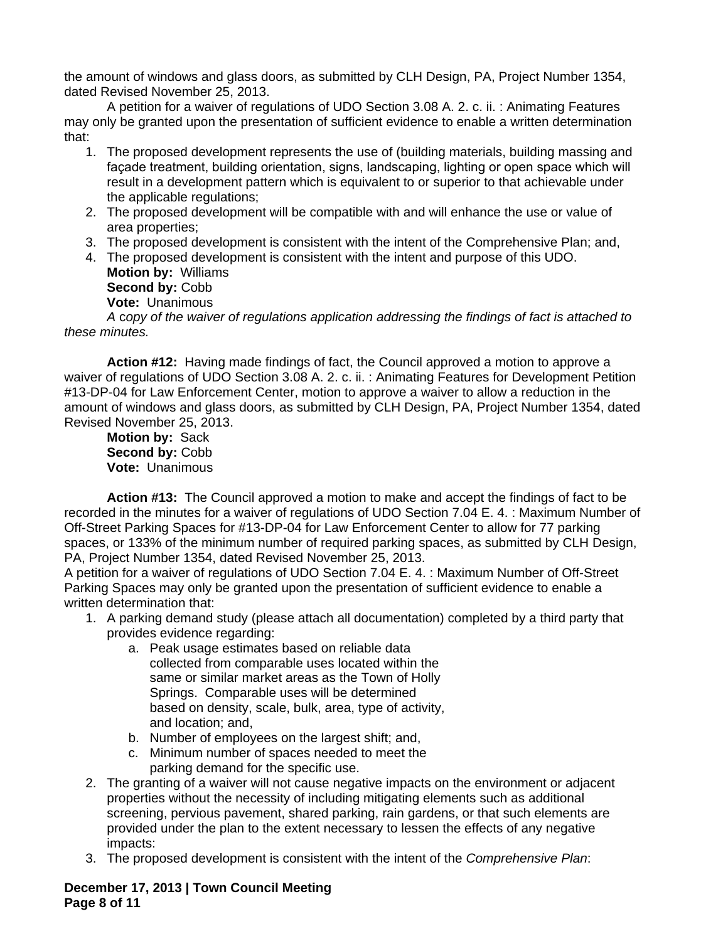the amount of windows and glass doors, as submitted by CLH Design, PA, Project Number 1354, dated Revised November 25, 2013.

A petition for a waiver of regulations of UDO Section 3.08 A. 2. c. ii. : Animating Features may only be granted upon the presentation of sufficient evidence to enable a written determination that:

- 1. The proposed development represents the use of (building materials, building massing and façade treatment, building orientation, signs, landscaping, lighting or open space which will result in a development pattern which is equivalent to or superior to that achievable under the applicable regulations;
- 2. The proposed development will be compatible with and will enhance the use or value of area properties;
- 3. The proposed development is consistent with the intent of the Comprehensive Plan; and,
- 4. The proposed development is consistent with the intent and purpose of this UDO. **Motion by:** Williams **Second by:** Cobb

**Vote:** Unanimous

*A* c*opy of the waiver of regulations application addressing the findings of fact is attached to these minutes.*

**Action #12:** Having made findings of fact, the Council approved a motion to approve a waiver of regulations of UDO Section 3.08 A. 2. c. ii. : Animating Features for Development Petition #13-DP-04 for Law Enforcement Center, motion to approve a waiver to allow a reduction in the amount of windows and glass doors, as submitted by CLH Design, PA, Project Number 1354, dated Revised November 25, 2013.

**Motion by:** Sack Second by: Cobb **Vote:** Unanimous

**Action #13:** The Council approved a motion to make and accept the findings of fact to be recorded in the minutes for a waiver of regulations of UDO Section 7.04 E. 4. : Maximum Number of Off-Street Parking Spaces for #13-DP-04 for Law Enforcement Center to allow for 77 parking spaces, or 133% of the minimum number of required parking spaces, as submitted by CLH Design, PA, Project Number 1354, dated Revised November 25, 2013.

A petition for a waiver of regulations of UDO Section 7.04 E. 4. : Maximum Number of Off-Street Parking Spaces may only be granted upon the presentation of sufficient evidence to enable a written determination that:

- 1. A parking demand study (please attach all documentation) completed by a third party that provides evidence regarding:
	- a. Peak usage estimates based on reliable data collected from comparable uses located within the same or similar market areas as the Town of Holly Springs. Comparable uses will be determined based on density, scale, bulk, area, type of activity, and location; and,
	- b. Number of employees on the largest shift; and,
	- c. Minimum number of spaces needed to meet the parking demand for the specific use.
- 2. The granting of a waiver will not cause negative impacts on the environment or adjacent properties without the necessity of including mitigating elements such as additional screening, pervious pavement, shared parking, rain gardens, or that such elements are provided under the plan to the extent necessary to lessen the effects of any negative impacts:
- 3. The proposed development is consistent with the intent of the *Comprehensive Plan*:

**December 17, 2013 | Town Council Meeting Page 8 of 11**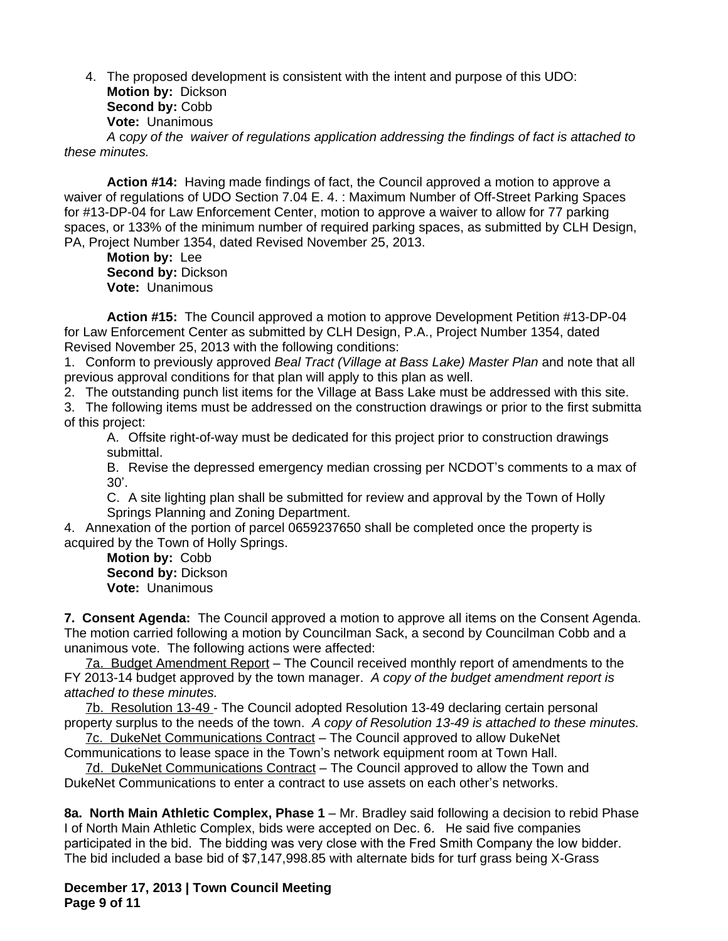4. The proposed development is consistent with the intent and purpose of this UDO: **Motion by:** Dickson **Second by:** Cobb **Vote:** Unanimous *A* c*opy of the waiver of regulations application addressing the findings of fact is attached to these minutes.*

**Action #14:** Having made findings of fact, the Council approved a motion to approve a waiver of regulations of UDO Section 7.04 E. 4. : Maximum Number of Off-Street Parking Spaces for #13-DP-04 for Law Enforcement Center, motion to approve a waiver to allow for 77 parking spaces, or 133% of the minimum number of required parking spaces, as submitted by CLH Design, PA, Project Number 1354, dated Revised November 25, 2013.

**Motion by:** Lee **Second by:** Dickson **Vote:** Unanimous

**Action #15:** The Council approved a motion to approve Development Petition #13-DP-04 for Law Enforcement Center as submitted by CLH Design, P.A., Project Number 1354, dated Revised November 25, 2013 with the following conditions:

1. Conform to previously approved *Beal Tract (Village at Bass Lake) Master Plan* and note that all previous approval conditions for that plan will apply to this plan as well.

2. The outstanding punch list items for the Village at Bass Lake must be addressed with this site.

3. The following items must be addressed on the construction drawings or prior to the first submittal of this project:

A. Offsite right-of-way must be dedicated for this project prior to construction drawings submittal.

B. Revise the depressed emergency median crossing per NCDOT's comments to a max of 30'.

C. A site lighting plan shall be submitted for review and approval by the Town of Holly Springs Planning and Zoning Department.

4. Annexation of the portion of parcel 0659237650 shall be completed once the property is acquired by the Town of Holly Springs.

**Motion by:** Cobb **Second by:** Dickson **Vote:** Unanimous

**7. Consent Agenda:** The Council approved a motion to approve all items on the Consent Agenda. The motion carried following a motion by Councilman Sack, a second by Councilman Cobb and a unanimous vote. The following actions were affected:

7a. Budget Amendment Report – The Council received monthly report of amendments to the FY 2013-14 budget approved by the town manager. *A copy of the budget amendment report is attached to these minutes.*

7b. Resolution 13-49 - The Council adopted Resolution 13-49 declaring certain personal property surplus to the needs of the town. *A copy of Resolution 13-49 is attached to these minutes.*

7c. DukeNet Communications Contract – The Council approved to allow DukeNet Communications to lease space in the Town's network equipment room at Town Hall.

7d. DukeNet Communications Contract – The Council approved to allow the Town and DukeNet Communications to enter a contract to use assets on each other's networks.

**8a. North Main Athletic Complex, Phase 1** – Mr. Bradley said following a decision to rebid Phase I of North Main Athletic Complex, bids were accepted on Dec. 6. He said five companies participated in the bid. The bidding was very close with the Fred Smith Company the low bidder. The bid included a base bid of \$7,147,998.85 with alternate bids for turf grass being X-Grass

**December 17, 2013 | Town Council Meeting Page 9 of 11**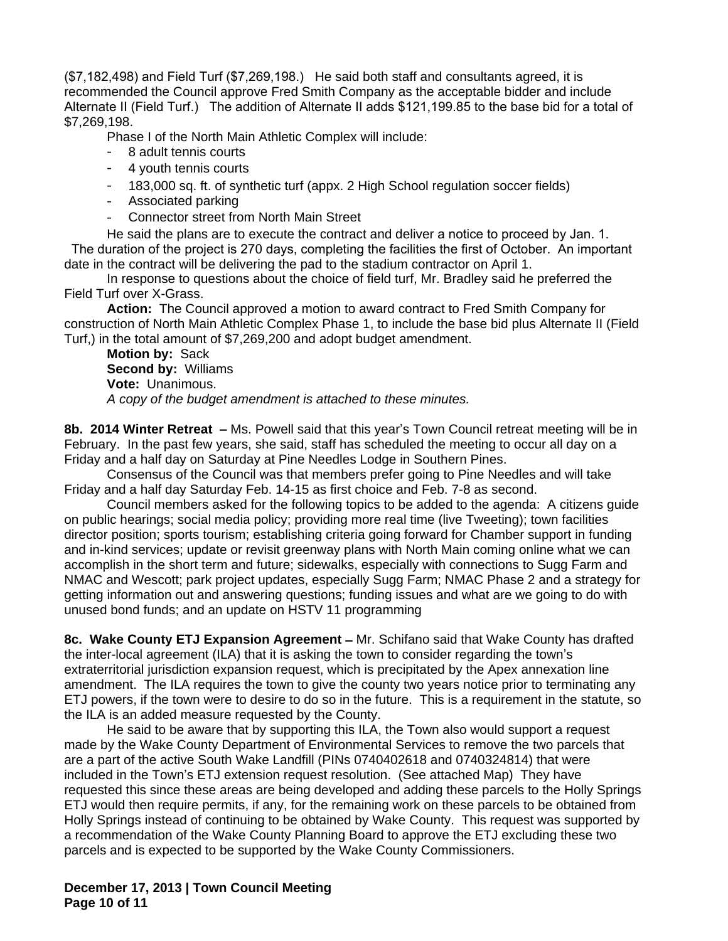(\$7,182,498) and Field Turf (\$7,269,198.) He said both staff and consultants agreed, it is recommended the Council approve Fred Smith Company as the acceptable bidder and include Alternate II (Field Turf.) The addition of Alternate II adds \$121,199.85 to the base bid for a total of \$7,269,198.

Phase I of the North Main Athletic Complex will include:

- 8 adult tennis courts
- 4 youth tennis courts
- 183,000 sq. ft. of synthetic turf (appx. 2 High School regulation soccer fields)
- Associated parking
- Connector street from North Main Street

He said the plans are to execute the contract and deliver a notice to proceed by Jan. 1. The duration of the project is 270 days, completing the facilities the first of October. An important date in the contract will be delivering the pad to the stadium contractor on April 1.

In response to questions about the choice of field turf, Mr. Bradley said he preferred the Field Turf over X-Grass.

**Action:** The Council approved a motion to award contract to Fred Smith Company for construction of North Main Athletic Complex Phase 1, to include the base bid plus Alternate II (Field Turf,) in the total amount of \$7,269,200 and adopt budget amendment.

**Motion by:** Sack **Second by:** Williams **Vote:** Unanimous. *A copy of the budget amendment is attached to these minutes.*

**8b. 2014 Winter Retreat –** Ms. Powell said that this year's Town Council retreat meeting will be in February. In the past few years, she said, staff has scheduled the meeting to occur all day on a Friday and a half day on Saturday at Pine Needles Lodge in Southern Pines.

Consensus of the Council was that members prefer going to Pine Needles and will take Friday and a half day Saturday Feb. 14-15 as first choice and Feb. 7-8 as second.

Council members asked for the following topics to be added to the agenda: A citizens guide on public hearings; social media policy; providing more real time (live Tweeting); town facilities director position; sports tourism; establishing criteria going forward for Chamber support in funding and in-kind services; update or revisit greenway plans with North Main coming online what we can accomplish in the short term and future; sidewalks, especially with connections to Sugg Farm and NMAC and Wescott; park project updates, especially Sugg Farm; NMAC Phase 2 and a strategy for getting information out and answering questions; funding issues and what are we going to do with unused bond funds; and an update on HSTV 11 programming

**8c. Wake County ETJ Expansion Agreement –** Mr. Schifano said that Wake County has drafted the inter-local agreement (ILA) that it is asking the town to consider regarding the town's extraterritorial jurisdiction expansion request, which is precipitated by the Apex annexation line amendment. The ILA requires the town to give the county two years notice prior to terminating any ETJ powers, if the town were to desire to do so in the future. This is a requirement in the statute, so the ILA is an added measure requested by the County.

He said to be aware that by supporting this ILA, the Town also would support a request made by the Wake County Department of Environmental Services to remove the two parcels that are a part of the active South Wake Landfill (PINs 0740402618 and 0740324814) that were included in the Town's ETJ extension request resolution. (See attached Map) They have requested this since these areas are being developed and adding these parcels to the Holly Springs ETJ would then require permits, if any, for the remaining work on these parcels to be obtained from Holly Springs instead of continuing to be obtained by Wake County. This request was supported by a recommendation of the Wake County Planning Board to approve the ETJ excluding these two parcels and is expected to be supported by the Wake County Commissioners.

**December 17, 2013 | Town Council Meeting Page 10 of 11**